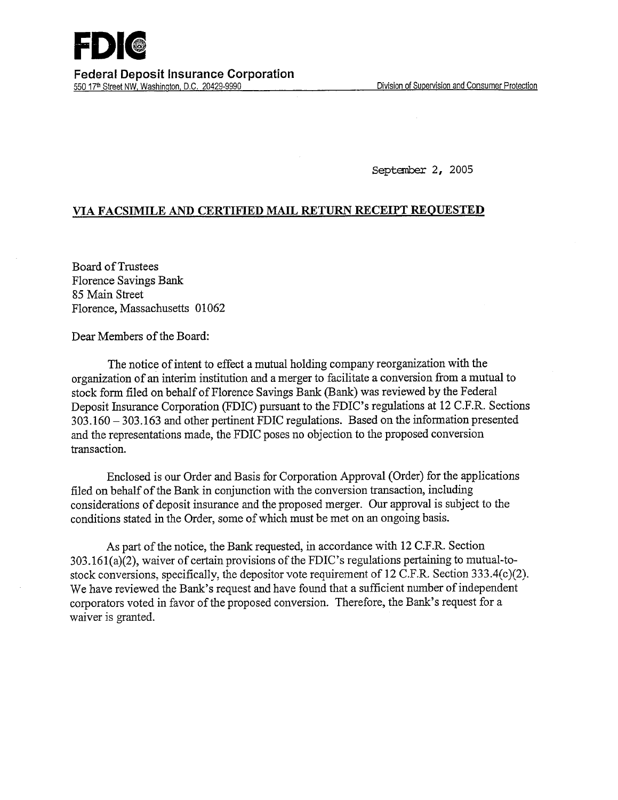September 2, 2005

## **VIA FACSIMILE AND CERTIFIED MAIL RETURN RECEIPT REQUESTED**

Board of Trustees Florence Savings Bank *85* Main Street Florence, Massachusetts 01062

Dear Members of the Board:

The notice of intent to effect a mutual holding company reorganization with the organization of an interim institution and a merger to facilitate a conversion from a mutual to stock form filed on behalf of Florence Savings Bank (Bank) was reviewed by the Federal Deposit Insurance Corporation (FDIC) pursuant to the FDIC's regulations at 12 C.F.R. Sections 303.160 - 303.163 and other pertinent FDIC regulations. Based on the information presented and the representations made, the FDIC poses no objection to the proposed conversion transaction.

Enclosed is our Order and Basis for Corporation Approval (Order) for the applications filed on behalf of the Bank in conjunction with the conversion transaction, including considerations of deposit insurance and the proposed merger. Our approval is subject to the conditions stated in the Order, some of which must be met on an ongoing basis.

As part of the notice, the Bank requested, in accordance with 12 C.F.R. Section 303.161(a)(2), waiver of certain provisions of the FDIC's regulations pertaining to mutual-tostock conversions, specifically, the depositor vote requirement of 12 C.F.R. Section  $333.4(c)(2)$ . We have reviewed the Bank's request and have found that a sufficient number of independent corporators voted in favor of the proposed conversion. Therefore, the Bank's request for a waiver is granted.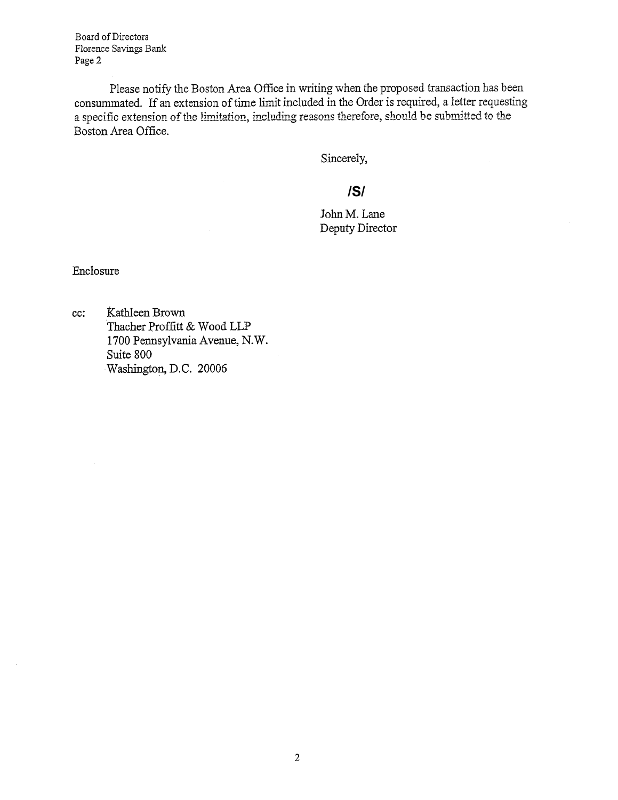Board of Directors Florence Savings Bank Page 2

Please notify the Boston Area Office in writing when the proposed transaction has been consummated. If an extension of time limit included in the Order is required, a letter requesting a specific extension of the limitation, including reasons therefore, should be submitted to the Boston Area Office.

Sincerely,

## **/S/**

John M. Lane Deputy Director

Enclosure

 $\bar{\psi}$ 

cc: Kathleen Brown Thacher Proffitt & Wood LLP 1700 Pennsylvania Avenue, N.W. Suite 800 Washington, **D.C. 20006**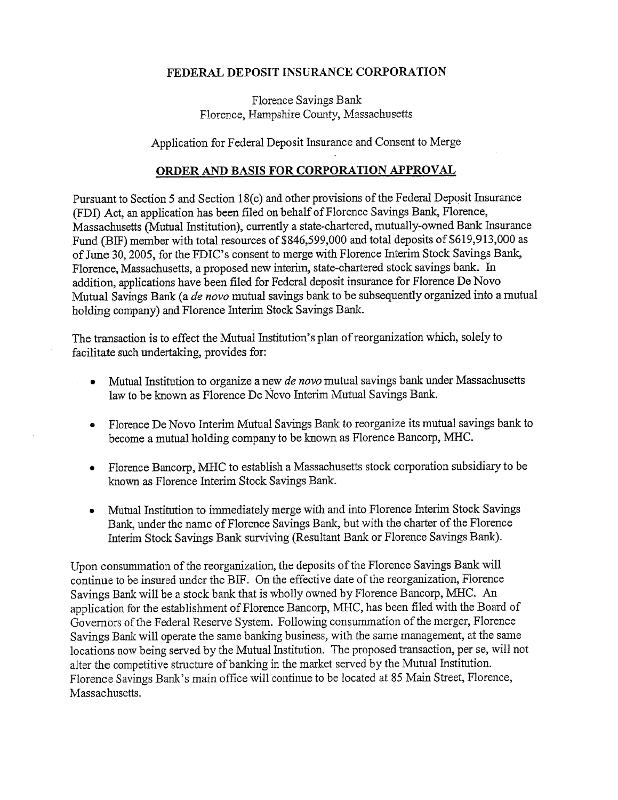## **FEDERAL DEPOSIT INSURANCE CORPORATION**

Florence Savings Bank Florence, Hampshire County, Massachusetts

Application for Federal Deposit Insurance and Consent to Merge

## **ORDER AND BASIS FOR CORPORATION APPROVAL**

Pursuant to Section *5* and Section 18(c) and other provisions of the Federal Deposit Insurance (FDI) Act, an application has been filed on behalf of Florence Savings Bank, Florence, Massachusetts (Mutual Institution), currently a state-chartered, mutually-owned Bank Insurance Fund (BTF) member with total resources of \$846,599,000 and total deposits of \$619,913,000 as of June 30, 2005, for the FDIC's consent to merge with Florence Interim Stock Savings Bank, Florence, Massachusetts, a proposed new interim, state-chartered stock savings bank. In addition, applications have been filed for Federal deposit insurance for Florence De Novo Mutual Savings Bank (a *de novo* mutual savings bank to be subsequently organized into a mutual holding company) and Florence Interim Stock Savings Bank.

The transaction is to effect the Mutual Institution's plan of reorganization which, solely to facilitate such undertaking, provides for:

- Mutual Institution to organize a new *de novo* mutual savings bank under Massachusetts law to be known as Florence De Novo Interim Mutual Savings Bank.
- Florence De Novo Interim Mutual Savings Bank to reorganize its mutual savings bank to become a mutual holding company to be known as Florence Bancorp, MHC.
- Florence Bancorp, MHC to establish a Massachusetts stock corporation subsidiary to be known as Florence Interim Stock Savings Bank.
- Mutual Institution to immediately merge with and into Florence Interim Stock Savings Bank, under the name of Florence Savings Bank, but with the charter of the Florence Interim Stock Savings Bank surviving (Resultant Bank or Florence Savings Bank).

Upon consummation of the reorganization, the deposits of the Florence Savings Bank will continue to be insured under the BIF. On the effective date of the reorganization, Florence Savings Bank will be a stock bank that is wholly owned by Florence Bancorp, MHC. An application for the establishment of Florence Bancorp, MHC, has been filed with the Board of Governors of the Federal Reserve System. Following consummation of the merger, Florence Savings Bank will operate the same banking business, with the same management, at the same locations now being served by the Mutual Institution. The proposed transaction, per se, will not alter the competitive structure of banking in the market served by the Mutual Institution. Florence Savings Bank's main office will continue to be located at 85 Main Street, Florence, Massachusetts.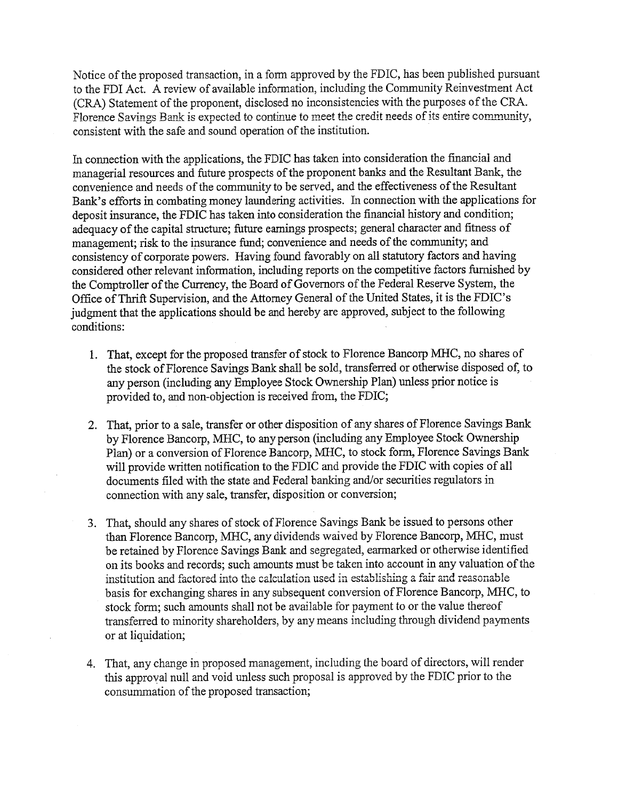Notice of the proposed transaction, in a form approved by the FDIC, has been published pursuant to the FDI Act. A review of available information, including the Community Reinvestment Act (CRA) Statement of the proponent, disclosed no inconsistencies with the purposes of the CRA. Florence Savings Bank is expected to continue to meet the credit needs of its entire community, consistent with the safe and sound operation of the institution.

In connection with the applications, the FDIC has taken into consideration the financial and managerial resources and future prospects of the proponent banks and the Resultant Bank, the convenience and needs of the community to be served, and the effectiveness of the Resultant Bank's efforts in combating money laundering activities. In connection with the applications for deposit insurance, the FDIC has taken into consideration the financial history and condition; adequacy of the capital structure; future earnings prospects; general character and fitness of management; risk to the insurance fund; convenience and needs of the community; and consistency of corporate powers. Having found favorably on all statutory factors and having considered other relevant information, including reports on the competitive factors furnished by the Comptroller of the Currency, the Board of Governors of the Federal Reserve System, the Office of Thrift Supervision, and the Attorney General of the United States, it is the FDIC's judgment that the applications should be and hereby are approved, subject to the following conditions:

- 1. That, except for the proposed transfer of stock to Florence Bancorp MHC, no shares of the stock of Florence Savings Bank shall be sold, transferred or otherwise disposed of, to any person (including any Employee Stock Ownership Plan) unless prior notice is provided to, and non-objection is received from, the FDIC;
- 2. That, prior to a sale, transfer or other disposition of any shares of Florence Savings Bank by Florence Bancorp, MHC, to any person (including any Employee Stock Ownership Plan) or a conversion of Florence Bancorp, MHC, to stock form, Florence Savings Bank will provide written notification to the FDIC and provide the FDIC with copies of all documents filed with the state and Federal banking and/or securities regulators in connection with any sale, transfer, disposition or conversion;
- 3. That, should any shares of stock of Florence Savings Bank be issued to persons other than Florence Bancorp, MHC, any dividends waived by Florence Bancorp, MHC, must be retained by Florence Savings Bank and segregated, earmarked or otherwise identified on its books and records; such amounts must be taken into account in any valuation of the institution and factored into the calculation *used in* establishing a fair and reasonable basis for exchanging shares in any subsequent conversion of Florence Bancorp, MHC, to stock form; such amounts shall not be available for payment to or the value thereof transferred to minority shareholders, by any means including through dividend payments or at liquidation;
- 4. That, any change in proposed management, including the board of directors, will render this approval null and void unless such proposal is approved by the FDIC prior to the consummation of the proposed transaction;